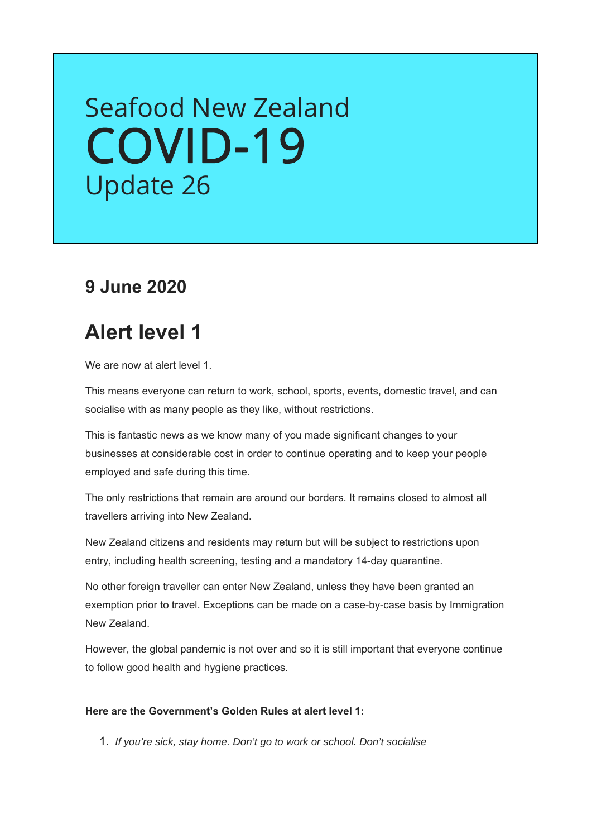# Seafood New Zealand [COVID-19](https://seafood.org.nz/industry/covid-19-information/) Update 26

### **9 June 2020**

### **Alert level 1**

We are now at alert level 1.

This means everyone can return to work, school, sports, events, domestic travel, and can socialise with as many people as they like, without restrictions.

This is fantastic news as we know many of you made significant changes to your businesses at considerable cost in order to continue operating and to keep your people employed and safe during this time.

The only restrictions that remain are around our borders. It remains closed to almost all travellers arriving into New Zealand.

New Zealand citizens and residents may return but will be subject to restrictions upon entry, including health screening, testing and a mandatory 14-day quarantine.

No other foreign traveller can enter New Zealand, unless they have been granted an exemption prior to travel. Exceptions can be made on a case-by-case basis by Immigration New Zealand.

However, the global pandemic is not over and so it is still important that everyone continue to follow good health and hygiene practices.

#### **Here are the Government's Golden Rules at alert level 1:**

1. *If you're sick, stay home. Don't go to work or school. Don't socialise*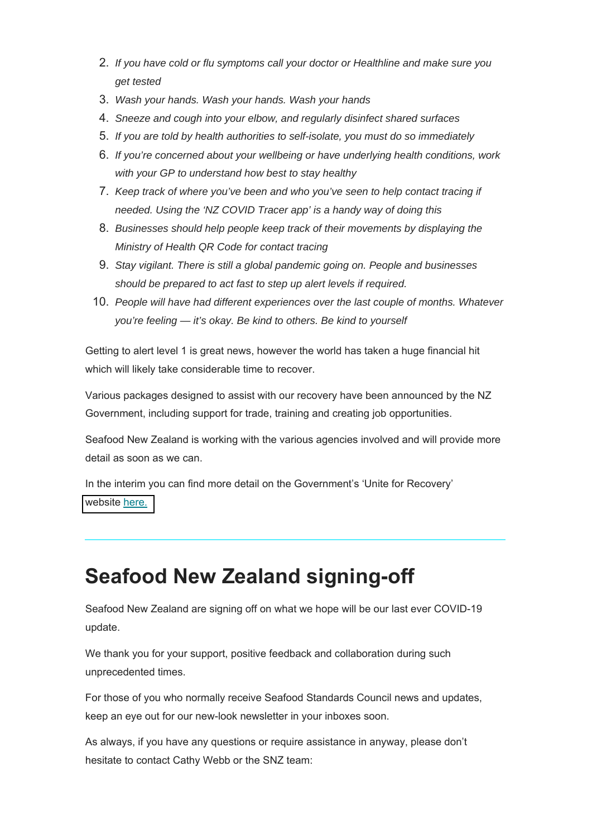- 2. *If you have cold or flu symptoms call your doctor or Healthline and make sure you get tested*
- 3. *Wash your hands. Wash your hands. Wash your hands*
- 4. *Sneeze and cough into your elbow, and regularly disinfect shared surfaces*
- 5. *If you are told by health authorities to self-isolate, you must do so immediately*
- 6. *If you're concerned about your wellbeing or have underlying health conditions, work with your GP to understand how best to stay healthy*
- 7. *Keep track of where you've been and who you've seen to help contact tracing if needed. Using the 'NZ COVID Tracer app' is a handy way of doing this*
- 8. *Businesses should help people keep track of their movements by displaying the Ministry of Health QR Code for contact tracing*
- 9. *Stay vigilant. There is still a global pandemic going on. People and businesses should be prepared to act fast to step up alert levels if required.*
- 10. *People will have had different experiences over the last couple of months. Whatever you're feeling — it's okay. Be kind to others. Be kind to yourself*

Getting to alert level 1 is great news, however the world has taken a huge financial hit which will likely take considerable time to recover.

Various packages designed to assist with our recovery have been announced by the NZ Government, including support for trade, training and creating job opportunities.

Seafood New Zealand is working with the various agencies involved and will provide more detail as soon as we can.

In the interim you can find more detail on the Government's 'Unite for Recovery' [website here.](https://uniteforrecovery.govt.nz/)

## **Seafood New Zealand signing-off**

Seafood New Zealand are signing off on what we hope will be our last ever COVID-19 update.

We thank you for your support, positive feedback and collaboration during such unprecedented times.

For those of you who normally receive Seafood Standards Council news and updates, keep an eye out for our new-look newsletter in your inboxes soon.

As always, if you have any questions or require assistance in anyway, please don't hesitate to contact Cathy Webb or the SNZ team: